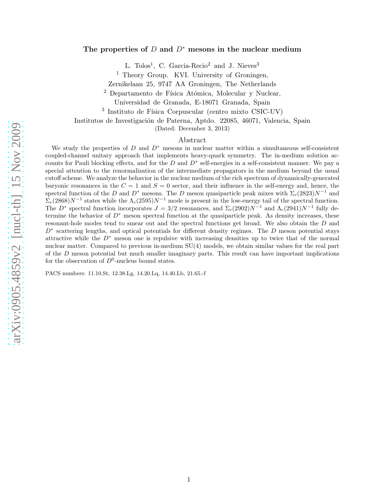# arXiv:0905.4859v2 [nucl-th] 15 Nov 2009 [arXiv:0905.4859v2 \[nucl-th\] 15 Nov 2009](http://arxiv.org/abs/0905.4859v2)

# The properties of  $D$  and  $D^*$  mesons in the nuclear medium

L. Tolos<sup>1</sup>, C. Garcia-Recio<sup>2</sup> and J. Nieves<sup>3</sup>

<sup>1</sup> Theory Group. KVI. University of Groningen,

Zernikelaan 25, 9747 AA Groningen, The Netherlands

<sup>2</sup> Departamento de Física Atómica, Molecular y Nuclear,

Universidad de Granada, E-18071 Granada, Spain

<sup>3</sup> Instituto de Física Corpuscular (centro mixto CSIC-UV)

Institutos de Investigación de Paterna, Aptdo. 22085, 46071, Valencia, Spain

(Dated: December 3, 2013)

### Abstract

We study the properties of  $D$  and  $D^*$  mesons in nuclear matter within a simultaneous self-consistent coupled-channel unitary approach that implements heavy-quark symmetry. The in-medium solution accounts for Pauli blocking effects, and for the  $D$  and  $D^*$  self-energies in a self-consistent manner. We pay a special attention to the renormalization of the intermediate propagators in the medium beyond the usual cutoff scheme. We analyze the behavior in the nuclear medium of the rich spectrum of dynamically-generated baryonic resonances in the  $C = 1$  and  $S = 0$  sector, and their influence in the self-energy and, hence, the spectral function of the D and D<sup>\*</sup> mesons. The D meson quasiparticle peak mixes with  $\Sigma_c(2823)N^{-1}$  and  $\sum_{c}(2868)N^{-1}$  states while the  $\Lambda_c(2595)N^{-1}$  mode is present in the low-energy tail of the spectral function. The D<sup>∗</sup> spectral function incorporates  $J = 3/2$  resonances, and  $\Sigma_c(2902)N^{-1}$  and  $\Lambda_c(2941)N^{-1}$  fully determine the behavior of  $D^*$  meson spectral function at the quasiparticle peak. As density increases, these resonant-hole modes tend to smear out and the spectral functions get broad. We also obtain the D and D<sup>∗</sup> scattering lengths, and optical potentials for different density regimes. The D meson potential stays attractive while the  $D^*$  meson one is repulsive with increasing densities up to twice that of the normal nuclear matter. Compared to previous in-medium SU(4) models, we obtain similar values for the real part of the  $D$  meson potential but much smaller imaginary parts. This result can have important implications for the observation of  $D^0$ -nucleus bound states.

PACS numbers: 11.10.St, 12.38.Lg, 14.20.Lq, 14.40.Lb, 21.65.-f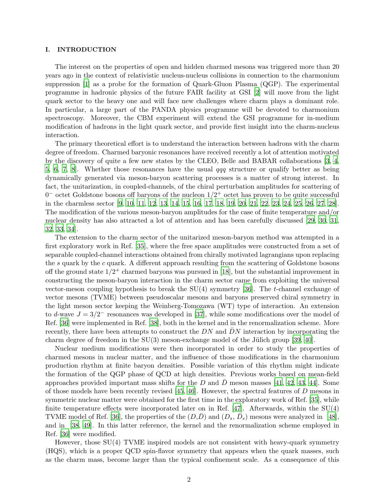### I. INTRODUCTION

The interest on the properties of open and hidden charmed mesons was triggered more than 20 years ago in the context of relativistic nucleus-nucleus collisions in connection to the charmonium suppression [\[1\]](#page-17-0) as a probe for the formation of Quark-Gluon Plasma (QGP). The experimental programme in hadronic physics of the future FAIR facility at GSI [\[2](#page-17-1)] will move from the light quark sector to the heavy one and will face new challenges where charm plays a dominant role. In particular, a large part of the PANDA physics programme will be devoted to charmonium spectroscopy. Moreover, the CBM experiment will extend the GSI programme for in-medium modification of hadrons in the light quark sector, and provide first insight into the charm-nucleus interaction.

The primary theoretical effort is to understand the interaction between hadrons with the charm degree of freedom. Charmed baryonic resonances have received recently a lot of attention motivated by the discovery of quite a few new states by the CLEO, Belle and BABAR collaborations [\[3,](#page-17-2) [4](#page-17-3), [5](#page-17-4), [6](#page-17-5), [7](#page-17-6), [8](#page-17-7). Whether those resonances have the usual  $qqq$  structure or qualify better as being dynamically generated via meson-baryon scattering processes is a matter of strong interest. In fact, the unitarization, in coupled-channels, of the chiral perturbation amplitudes for scattering of  $0<sup>-</sup>$  octet Goldstone bosons off baryons of the nucleon  $1/2<sup>+</sup>$  octet has proven to be quite successful in the charmless sector [\[9,](#page-17-8) [10,](#page-17-9) [11](#page-17-10), [12](#page-17-11), [13](#page-17-12), [14,](#page-17-13) [15,](#page-17-14) [16](#page-17-15), [17](#page-17-16), [18](#page-17-17), [19](#page-17-18), [20,](#page-18-0) [21](#page-18-1), [22](#page-18-2), [23](#page-18-3), [24,](#page-18-4) [25,](#page-18-5) [26](#page-18-6), [27](#page-18-7), [28](#page-18-8)]. The modification of the various meson-baryon amplitudes for the case of finite temperature and/or nuclear density has also attracted a lot of attention and has been carefully discussed [\[29,](#page-18-9) [30](#page-18-10), [31](#page-18-11), [32,](#page-18-12) [33](#page-18-13), [34](#page-18-14)].

The extension to the charm sector of the unitarized meson-baryon method was attempted in a first exploratory work in Ref. [\[35](#page-18-15)], where the free space amplitudes were constructed from a set of separable coupled-channel interactions obtained from chirally motivated lagrangians upon replacing the s quark by the c quark. A different approach resulting from the scattering of Goldstone bosons off the ground state  $1/2^+$  charmed baryons was pursued in [\[18](#page-17-17)], but the substantial improvement in constructing the meson-baryon interaction in the charm sector came from exploiting the universal vector-meson coupling hypothesis to break the SU(4) symmetry [\[36\]](#page-18-16). The t-channel exchange of vector mesons (TVME) between pseudoscalar mesons and baryons preserved chiral symmetry in the light meson sector keeping the Weinberg-Tomozawa (WT) type of interaction. An extension to d-wave  $J = 3/2^-$  resonances was developed in [\[37](#page-18-17)], while some modifications over the model of Ref. [\[36](#page-18-16)] were implemented in Ref. [\[38\]](#page-18-18), both in the kernel and in the renormalization scheme. More recently, there have been attempts to construct the  $DN$  and  $DN$  interaction by incorporating the charm degree of freedom in the  $SU(3)$  meson-exchange model of the Jülich group [\[39,](#page-18-19) [40](#page-18-20)].

Nuclear medium modifications were then incorporated in order to study the properties of charmed mesons in nuclear matter, and the influence of those modifications in the charmonium production rhythm at finite baryon densities. Possible variation of this rhythm might indicate the formation of the QGP phase of QCD at high densities. Previous works based on mean-field approaches provided important mass shifts for the D and D meson masses [\[41](#page-18-21), [42,](#page-18-22) [43](#page-18-23), [44](#page-18-24)]. Some of those models have been recently revised [\[45](#page-18-25), [46\]](#page-18-26). However, the spectral features of D mesons in symmetric nuclear matter were obtained for the first time in the exploratory work of Ref. [\[35](#page-18-15)], while finite temperature effects were incorporated later on in Ref. [\[47\]](#page-18-27). Afterwards, within the SU(4) TVME model of Ref. [\[36\]](#page-18-16), the properties of the  $(D,\bar{D})$  and  $(D_s, \bar{D}_s)$  mesons were analyzed in [\[48](#page-18-28)], and in [\[38,](#page-18-18) [49](#page-18-29)]. In this latter reference, the kernel and the renormalization scheme employed in Ref. [\[36\]](#page-18-16) were modified.

However, those SU(4) TVME inspired models are not consistent with heavy-quark symmetry (HQS), which is a proper QCD spin-flavor symmetry that appears when the quark masses, such as the charm mass, become larger than the typical confinement scale. As a consequence of this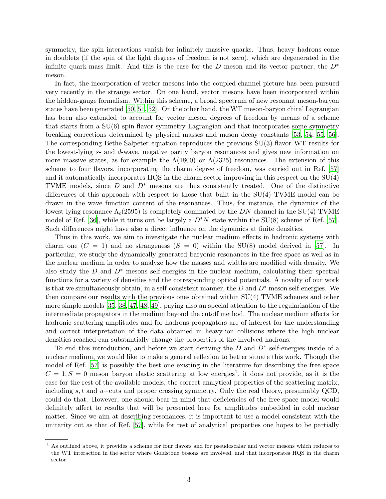symmetry, the spin interactions vanish for infinitely massive quarks. Thus, heavy hadrons come in doublets (if the spin of the light degrees of freedom is not zero), which are degenerated in the infinite quark-mass limit. And this is the case for the D meson and its vector partner, the  $D^*$ meson.

In fact, the incorporation of vector mesons into the coupled-channel picture has been pursued very recently in the strange sector. On one hand, vector mesons have been incorporated within the hidden-gauge formalism. Within this scheme, a broad spectrum of new resonant meson-baryon states have been generated [\[50,](#page-18-30) [51](#page-18-31), [52](#page-18-32)]. On the other hand, the WT meson-baryon chiral Lagrangian has been also extended to account for vector meson degrees of freedom by means of a scheme that starts from a SU(6) spin-flavor symmetry Lagrangian and that incorporates some symmetry breaking corrections determined by physical masses and meson decay constants [\[53,](#page-18-33) [54](#page-18-34), [55,](#page-18-35) [56](#page-18-36)]. The corresponding Bethe-Salpeter equation reproduces the previous SU(3)-flavor WT results for the lowest-lying s- and d-wave, negative parity baryon resonances and gives new information on more massive states, as for example the  $\Lambda(1800)$  or  $\Lambda(2325)$  resonances. The extension of this scheme to four flavors, incorporating the charm degree of freedom, was carried out in Ref. [\[57](#page-18-37)] and it automatically incorporates HQS in the charm sector improving in this respect on the SU(4) TVME models, since  $D$  and  $D^*$  mesons are thus consistently treated. One of the distinctive differences of this approach with respect to those that built in the SU(4) TVME model can be drawn in the wave function content of the resonances. Thus, for instance, the dynamics of the lowest lying resonance  $\Lambda_c(2595)$  is completely dominated by the DN channel in the SU(4) TVME model of Ref. [\[36](#page-18-16)], while it turns out be largely a  $D^*N$  state within the SU(8) scheme of Ref. [\[57](#page-18-37)]. Such differences might have also a direct influence on the dynamics at finite densities.

Thus in this work, we aim to investigate the nuclear medium effects in hadronic systems with charm one  $(C = 1)$  and no strangeness  $(S = 0)$  within the SU(8) model derived in [\[57](#page-18-37)]. In particular, we study the dynamically-generated baryonic resonances in the free space as well as in the nuclear medium in order to analyze how the masses and widths are modified with density. We also study the  $D$  and  $D^*$  mesons self-energies in the nuclear medium, calculating their spectral functions for a variety of densities and the corresponding optical potentials. A novelty of our work is that we simultaneously obtain, in a self-consistent manner, the  $D$  and  $D^*$  meson self-energies. We then compare our results with the previous ones obtained within SU(4) TVME schemes and other more simple models [\[35](#page-18-15), [38](#page-18-18), [47](#page-18-27), [48,](#page-18-28) [49\]](#page-18-29), paying also an special attention to the regularization of the intermediate propagators in the medium beyond the cutoff method. The nuclear medium effects for hadronic scattering amplitudes and for hadrons propagators are of interest for the understanding and correct interpretation of the data obtained in heavy-ion collisions where the high nuclear densities reached can substantially change the properties of the involved hadrons.

To end this introduction, and before we start deriving the  $D$  and  $D^*$  self-energies inside of a nuclear medium, we would like to make a general reflexion to better situate this work. Though the model of Ref. [\[57](#page-18-37)] is possibly the best one existing in the literature for describing the free space  $C = 1, S = 0$  meson-baryon elastic scattering at low energies<sup>1</sup>, it does not provide, as it is the case for the rest of the available models, the correct analytical properties of the scattering matrix, including s, t and u−cuts and proper crossing symmetry. Only the real theory, presumably QCD, could do that. However, one should bear in mind that deficiencies of the free space model would definitely affect to results that will be presented here for amplitudes embedded in cold nuclear matter. Since we aim at describing resonances, it is important to use a model consistent with the unitarity cut as that of Ref. [\[57\]](#page-18-37), while for rest of analytical properties one hopes to be partially

<sup>&</sup>lt;sup>1</sup> As outlined above, it provides a scheme for four flavors and for pseudoscalar and vector mesons which reduces to the WT interaction in the sector where Goldstone bosons are involved, and that incorporates HQS in the charm sector.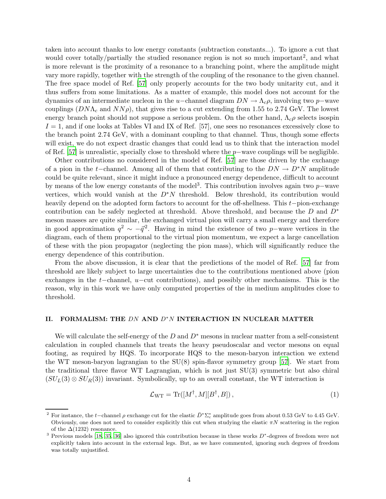taken into account thanks to low energy constants (subtraction constants...). To ignore a cut that would cover totally/partially the studied resonance region is not so much important<sup>2</sup>, and what is more relevant is the proximity of a resonance to a branching point, where the amplitude might vary more rapidly, together with the strength of the coupling of the resonance to the given channel. The free space model of Ref. [\[57\]](#page-18-37) only properly accounts for the two body unitarity cut, and it thus suffers from some limitations. As a matter of example, this model does not account for the dynamics of an intermediate nucleon in the u–channel diagram  $DN \to \Lambda_c \rho$ , involving two p–wave couplings  $(DN\Lambda_c$  and  $NN\rho$ ), that gives rise to a cut extending from 1.55 to 2.74 GeV. The lowest energy branch point should not suppose a serious problem. On the other hand,  $\Lambda_c \rho$  selects isospin  $I = 1$ , and if one looks at Tables VI and IX of Ref. [57], one sees no resonances excessively close to the branch point 2.74 GeV, with a dominant coupling to that channel. Thus, though some effects will exist, we do not expect drastic changes that could lead us to think that the interaction model of Ref. [\[57\]](#page-18-37) is unrealistic, specially close to threshold where the p−wave couplings will be negligible.

Other contributions no considered in the model of Ref. [\[57](#page-18-37)] are those driven by the exchange of a pion in the t−channel. Among all of them that contributing to the  $DN \to D^*N$  amplitude could be quite relevant, since it might induce a pronounced energy dependence, difficult to account by means of the low energy constants of the model<sup>3</sup>. This contribution involves again two  $p$ -wave vertices, which would vanish at the  $D^*N$  threshold. Below threshold, its contribution would heavily depend on the adopted form factors to account for the off-shellness. This t−pion-exchange contribution can be safely neglected at threshold. Above threshold, and because the D and  $D^*$ meson masses are quite similar, the exchanged virtual pion will carry a small energy and therefore in good approximation  $q^2 \sim -\vec{q}^2$ . Having in mind the existence of two p-wave vertices in the diagram, each of them proportional to the virtual pion momentum, we expect a large cancellation of these with the pion propagator (neglecting the pion mass), which will significantly reduce the energy dependence of this contribution.

From the above discussion, it is clear that the predictions of the model of Ref. [\[57](#page-18-37)] far from threshold are likely subject to large uncertainties due to the contributions mentioned above (pion exchanges in the t–channel,  $u$ –cut contributions), and possibly other mechanisms. This is the reason, why in this work we have only computed properties of the in medium amplitudes close to threshold.

### II. FORMALISM: THE  $DN$  AND  $D^*N$  INTERACTION IN NUCLEAR MATTER

We will calculate the self-energy of the D and  $D^*$  mesons in nuclear matter from a self-consistent calculation in coupled channels that treats the heavy pseudoscalar and vector mesons on equal footing, as required by HQS. To incorporate HQS to the meson-baryon interaction we extend the WT meson-baryon lagrangian to the SU(8) spin-flavor symmetry group [\[57\]](#page-18-37). We start from the traditional three flavor WT Lagrangian, which is not just SU(3) symmetric but also chiral  $(SU_L(3) \otimes SU_R(3))$  invariant. Symbolically, up to an overall constant, the WT interaction is

$$
\mathcal{L}_{\text{WT}} = \text{Tr}([M^{\dagger}, M][B^{\dagger}, B]), \qquad (1)
$$

<sup>&</sup>lt;sup>2</sup> For instance, the t–channel  $\rho$  exchange cut for the elastic  $\bar{D}^* \Sigma_c^*$  amplitude goes from about 0.53 GeV to 4.45 GeV. Obviously, one does not need to consider explicitly this cut when studying the elastic  $\pi N$  scattering in the region of the  $\Delta(1232)$  resonance.

<sup>&</sup>lt;sup>3</sup> Previous models [\[18](#page-17-17), [35](#page-18-15), [36\]](#page-18-16) also ignored this contribution because in these works  $D^*$ -degrees of freedom were not explicitly taken into account in the external legs. But, as we have commented, ignoring such degrees of freedom was totally unjustified.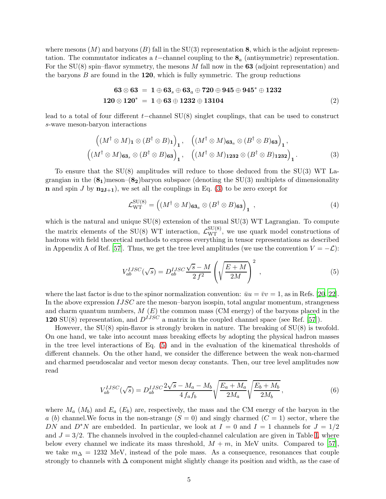where mesons  $(M)$  and baryons  $(B)$  fall in the SU(3) representation 8, which is the adjoint representation. The commutator indicates a t–channel coupling to the  $\mathbf{8}_a$  (antisymmetric) representation. For the  $SU(8)$  spin–flavor symmetry, the mesons M fall now in the 63 (adjoint representation) and the baryons  $B$  are found in the  $120$ , which is fully symmetric. The group reductions

$$
63 \otimes 63 = 1 \oplus 63_s \oplus 63_a \oplus 720 \oplus 945 \oplus 945^* \oplus 1232
$$
  

$$
120 \otimes 120^* = 1 \oplus 63 \oplus 1232 \oplus 13104
$$
 (2)

lead to a total of four different t−channel SU(8) singlet couplings, that can be used to construct s-wave meson-baryon interactions

<span id="page-4-0"></span>
$$
\left((M^{\dagger} \otimes M)_{1} \otimes (B^{\dagger} \otimes B)_{1}\right)_{1}, \quad \left((M^{\dagger} \otimes M)_{63_{a}} \otimes (B^{\dagger} \otimes B)_{63}\right)_{1},\newline \left((M^{\dagger} \otimes M)_{63_{s}} \otimes (B^{\dagger} \otimes B)_{63}\right)_{1}, \quad \left((M^{\dagger} \otimes M)_{1232} \otimes (B^{\dagger} \otimes B)_{1232}\right)_{1}.
$$
\n(3)

To ensure that the SU(8) amplitudes will reduce to those deduced from the SU(3) WT Lagrangian in the  $(8_1)$ meson– $(8_2)$ baryon subspace (denoting the SU(3) multiplets of dimensionality **n** and spin J by  $n_{2J+1}$ , we set all the couplings in Eq. [\(3\)](#page-4-0) to be zero except for

$$
\mathcal{L}_{\rm WT}^{\rm SU(8)} = \left( (M^\dagger \otimes M)_{63_a} \otimes (B^\dagger \otimes B)_{63} \right)_1 ,\qquad (4)
$$

which is the natural and unique  $SU(8)$  extension of the usual  $SU(3)$  WT Lagrangian. To compute the matrix elements of the SU(8) WT interaction,  $\mathcal{L}_{\rm WT}^{\rm SU(8)}$ , we use quark model constructions of hadrons with field theoretical methods to express everything in tensor representations as described in Appendix A of Ref. [\[57](#page-18-37)]. Thus, we get the tree level amplitudes (we use the convention  $V = -\mathcal{L}$ ):

<span id="page-4-1"></span>
$$
V_{ab}^{IJSC}(\sqrt{s}) = D_{ab}^{IJSC} \frac{\sqrt{s} - M}{2f^2} \left( \sqrt{\frac{E + M}{2M}} \right)^2 ,\qquad (5)
$$

where the last factor is due to the spinor normalization convention:  $\bar{u}u = \bar{v}v = 1$ , as in Refs. [\[20](#page-18-0), [22](#page-18-2)]. In the above expression  $IJSC$  are the meson–baryon isospin, total angular momentum, strangeness and charm quantum numbers,  $M(E)$  the common mass (CM energy) of the baryons placed in the 120 SU(8) representation, and  $D^{IJSC}$  a matrix in the coupled channel space (see Ref. [\[57\]](#page-18-37)).

However, the SU(8) spin-flavor is strongly broken in nature. The breaking of SU(8) is twofold. On one hand, we take into account mass breaking effects by adopting the physical hadron masses in the tree level interactions of Eq. [\(5\)](#page-4-1) and in the evaluation of the kinematical thresholds of different channels. On the other hand, we consider the difference between the weak non-charmed and charmed pseudoscalar and vector meson decay constants. Then, our tree level amplitudes now read

<span id="page-4-2"></span>
$$
V_{ab}^{IJSC}(\sqrt{s}) = D_{ab}^{IJSC} \frac{2\sqrt{s} - M_a - M_b}{4 f_a f_b} \sqrt{\frac{E_a + M_a}{2M_a}} \sqrt{\frac{E_b + M_b}{2M_b}},\tag{6}
$$

where  $M_a$  ( $M_b$ ) and  $E_a$  ( $E_b$ ) are, respectively, the mass and the CM energy of the baryon in the a (b) channel. We focus in the non-strange  $(S = 0)$  and singly charmed  $(C = 1)$  sector, where the DN and  $D^*N$  are embedded. In particular, we look at  $I = 0$  and  $I = 1$  channels for  $J = 1/2$ and  $J = 3/2$ . The channels involved in the coupled-channel calculation are given in Table [I,](#page-5-0) where below every channel we indicate its mass threshold,  $M + m$ , in MeV units. Compared to [\[57](#page-18-37)], we take  $m<sub>\Delta</sub> = 1232$  MeV, instead of the pole mass. As a consequence, resonances that couple strongly to channels with  $\Delta$  component might slightly change its position and width, as the case of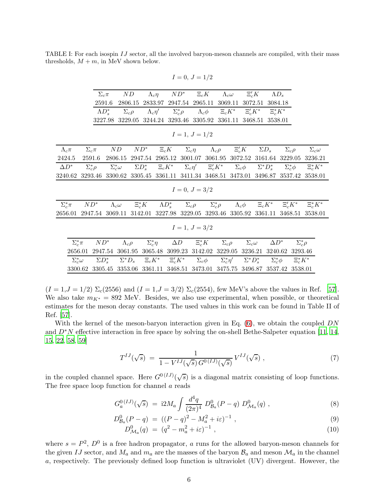<span id="page-5-0"></span>TABLE I: For each isospin IJ sector, all the involved baryon-meson channels are compiled, with their mass thresholds,  $M + m$ , in MeV shown below.

|                  |                    | $\Sigma_c \pi$                               |                    | ND               |                                                                                             | $\Lambda_c \eta$                     |            | $ND^*$ $\Xi_c K$                        |            | $\Lambda_c \omega$              |  | $\Xi_c' K$      |                                                         | $\Lambda D_s$      |                  |                  |                  |                   |  |
|------------------|--------------------|----------------------------------------------|--------------------|------------------|---------------------------------------------------------------------------------------------|--------------------------------------|------------|-----------------------------------------|------------|---------------------------------|--|-----------------|---------------------------------------------------------|--------------------|------------------|------------------|------------------|-------------------|--|
|                  |                    | 2591.6                                       |                    | 2806.15          |                                                                                             | 2833.97                              |            |                                         |            | 2947.54 2965.11 3069.11 3072.51 |  |                 |                                                         |                    | 3084.18          |                  |                  |                   |  |
|                  |                    | $\Lambda D_{\circ}^*$                        |                    | $\Sigma_c \rho$  |                                                                                             | $\Lambda_c\eta'$<br>$\Sigma_c^*\rho$ |            |                                         |            | $\Lambda_c \phi = \Xi_c K^*$    |  |                 | $\Xi_{c}' K^{*}$                                        |                    | $\Xi_c^* K^*$    |                  |                  |                   |  |
|                  |                    |                                              |                    |                  | 3227.98 3229.05 3244.24 3293.46 3305.92 3361.11 3468.51                                     |                                      |            |                                         |            |                                 |  |                 |                                                         |                    | 3538.01          |                  |                  |                   |  |
|                  |                    |                                              |                    |                  |                                                                                             |                                      |            |                                         |            |                                 |  |                 |                                                         |                    |                  |                  |                  |                   |  |
|                  |                    |                                              |                    |                  |                                                                                             |                                      |            | $I=1, J=1/2$                            |            |                                 |  |                 |                                                         |                    |                  |                  |                  |                   |  |
| $\Lambda_c \pi$  |                    | $\Sigma_c \pi$                               | ND                 |                  | $ND^*$                                                                                      | $\Xi_c K$                            |            |                                         |            |                                 |  |                 | $\Sigma_c \eta$ $\Lambda_c \rho$ $\Xi_c K$ $\Sigma D_s$ |                    |                  | $\Sigma_c \rho$  |                  | $\Sigma_c \omega$ |  |
| 2424.5           |                    | 2947.54 2965.12 3001.07<br>2591.6<br>2806.15 |                    |                  |                                                                                             |                                      |            |                                         | 3061.95    | 3072.52                         |  |                 | 3161.64 3229.05                                         |                    |                  | 3236.21          |                  |                   |  |
| $\Delta D^*$     |                    | $\Sigma_c^*\rho$                             | $\Sigma_c^*\omega$ |                  | $\Sigma D_s^*$ $\Xi_c K^*$ $\Sigma_c \eta'$ $\Xi_c' K^*$ $\Sigma_c \phi$                    |                                      |            |                                         |            |                                 |  |                 |                                                         | $\Sigma^* D^*_{s}$ |                  | $\Sigma_c^*\phi$ |                  | $\Xi_c^* K^*$     |  |
| 3240.62          |                    | 3293.46                                      |                    |                  | 3300.62 3305.45 3361.11 3411.34 3468.51 3473.01                                             |                                      |            |                                         |            |                                 |  |                 |                                                         | 3496.87            |                  |                  | 3537.42          | 3538.01           |  |
|                  |                    |                                              |                    |                  |                                                                                             |                                      |            |                                         |            |                                 |  |                 |                                                         |                    |                  |                  |                  |                   |  |
| $I=0, J=3/2$     |                    |                                              |                    |                  |                                                                                             |                                      |            |                                         |            |                                 |  |                 |                                                         |                    |                  |                  |                  |                   |  |
| $\Sigma_c^* \pi$ |                    | $ND^*$                                       |                    |                  | $\Xi_c^* K$ $\Lambda D_s^*$ $\Sigma_c \rho$ $\Sigma_c^* \rho$                               |                                      |            |                                         |            |                                 |  |                 | $\Lambda_c \phi = \Xi_c K^* = \Xi'_c K^*$               |                    |                  |                  |                  | $\Xi_c^* K^*$     |  |
|                  |                    |                                              | $\Lambda_c\omega$  |                  |                                                                                             |                                      |            |                                         |            |                                 |  |                 |                                                         |                    |                  |                  |                  |                   |  |
| 2656.01          |                    | 2947.54                                      |                    |                  | 3069.11 3142.01 3227.98 3229.05 3293.46                                                     |                                      |            |                                         |            |                                 |  | 3305.92         |                                                         | 3361.11            |                  |                  | 3468.51          | 3538.01           |  |
| $I=1, J=3/2$     |                    |                                              |                    |                  |                                                                                             |                                      |            |                                         |            |                                 |  |                 |                                                         |                    |                  |                  |                  |                   |  |
|                  |                    |                                              |                    |                  |                                                                                             |                                      |            |                                         |            |                                 |  |                 |                                                         |                    |                  |                  |                  |                   |  |
|                  | $\Sigma_c^* \pi$   | $ND^*$                                       |                    | $\Lambda_c \rho$ | $\Sigma_c^*\eta$                                                                            |                                      | $\Delta D$ |                                         | $\Xi_c^*K$ |                                 |  | $\Sigma_c \rho$ | $\Sigma_c \omega$                                       |                    | $\Delta D^*$     |                  | $\Sigma_c^*\rho$ |                   |  |
|                  | 2656.01            | 2947.54                                      |                    | 3061.95          |                                                                                             |                                      |            | 3065.48 3099.23 3142.02 3229.05 3236.21 |            |                                 |  |                 |                                                         |                    | 3240.62          |                  | 3293.46          |                   |  |
|                  | $\Sigma_c^*\omega$ | $\Sigma D_{s}^{*}$                           |                    |                  | $\Sigma^* D_s$ $\Xi_c K^*$ $\Xi_c' K^*$ $\Sigma_c \phi$ $\Sigma_c^* \eta'$ $\Sigma^* D_s^*$ |                                      |            |                                         |            |                                 |  |                 |                                                         |                    | $\Sigma_c^*\phi$ |                  | $\Xi_c^* K^*$    |                   |  |

 $I = 0, J = 1/2$ 

 $(I = 1, J = 1/2) \Sigma_c(2556)$  and  $(I = 1, J = 3/2) \Sigma_c(2554)$ , few MeV's above the values in Ref. [\[57](#page-18-37)]. We also take  $m_{K^*} = 892$  MeV. Besides, we also use experimental, when possible, or theoretical estimates for the meson decay constants. The used values in this work can be found in Table II of Ref. [\[57\]](#page-18-37).

3300.62 3305.45 3353.06 3361.11 3468.51 3473.01 3475.75 3496.87 3537.42 3538.01

With the kernel of the meson-baryon interaction given in Eq.  $(6)$ , we obtain the coupled DN and  $D^*N$  effective interaction in free space by solving the on-shell Bethe-Salpeter equation [\[11](#page-17-10), [14](#page-17-13), [15,](#page-17-14) [22](#page-18-2), [58](#page-18-38), [59](#page-18-39)]

$$
T^{IJ}(\sqrt{s}) = \frac{1}{1 - V^{IJ}(\sqrt{s}) G^{0(IJ)}(\sqrt{s})} V^{IJ}(\sqrt{s}), \qquad (7)
$$

in the coupled channel space. Here  $G^{(1)}(\sqrt{s})$  is a diagonal matrix consisting of loop functions. The free space loop function for channel a reads

$$
G_a^{0 (IJ)}(\sqrt{s}) = i2M_a \int \frac{d^4q}{(2\pi)^4} D_{B_a}^0(P-q) D_{\mathcal{M}_a}^0(q) , \qquad (8)
$$

$$
D_{\mathcal{B}_a}^0(P - q) = ((P - q)^2 - M_a^2 + i\varepsilon)^{-1}, \qquad (9)
$$

$$
D_{\mathcal{M}_a}^0(q) = (q^2 - m_a^2 + i\varepsilon)^{-1} \,, \tag{10}
$$

where  $s = P^2$ ,  $D^0$  is a free hadron propagator, a runs for the allowed baryon-meson channels for the given IJ sector, and  $M_a$  and  $m_a$  are the masses of the baryon  $\mathcal{B}_a$  and meson  $\mathcal{M}_a$  in the channel a, respectively. The previously defined loop function is ultraviolet (UV) divergent. However, the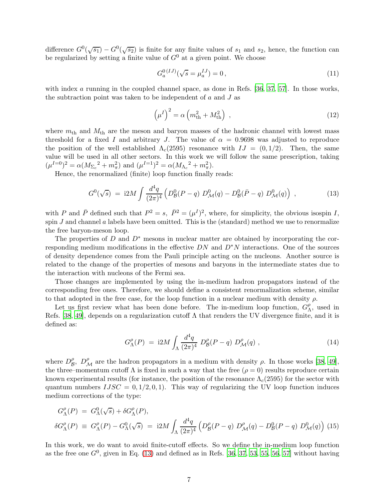difference  $G^0(\sqrt{s_1}) - G^0(\sqrt{s_2})$  is finite for any finite values of  $s_1$  and  $s_2$ , hence, the function can be regularized by setting a finite value of  $G^0$  at a given point. We choose

$$
G_a^{0 (IJ)}(\sqrt{s} = \mu_a^{IJ}) = 0, \qquad (11)
$$

with index a running in the coupled channel space, as done in Refs. [\[36](#page-18-16), [37](#page-18-17), [57](#page-18-37)]. In those works, the subtraction point was taken to be independent of  $a$  and  $J$  as

$$
\left(\mu^I\right)^2 = \alpha \left(m_{\rm th}^2 + M_{\rm th}^2\right) \,,\tag{12}
$$

where  $m_{\text{th}}$  and  $M_{\text{th}}$  are the meson and baryon masses of the hadronic channel with lowest mass threshold for a fixed I and arbitrary J. The value of  $\alpha = 0.9698$  was adjusted to reproduce the position of the well established  $\Lambda_c(2595)$  resonance with  $IJ = (0, 1/2)$ . Then, the same value will be used in all other sectors. In this work we will follow the same prescription, taking  $(\mu^{I=0})^2 = \alpha (M_{\Sigma_c}^2 + m_\pi^2)$  and  $(\mu^{I=1})^2 = \alpha (M_{\Lambda_c}^2 + m_\pi^2)$ .

Hence, the renormalized (finite) loop function finally reads:

<span id="page-6-0"></span>
$$
G^{0}(\sqrt{s}) = i2M \int \frac{d^{4}q}{(2\pi)^{4}} \left( D_{\mathcal{B}}^{0}(P-q) D_{\mathcal{M}}^{0}(q) - D_{\mathcal{B}}^{0}(\bar{P}-q) D_{\mathcal{M}}^{0}(q) \right) , \qquad (13)
$$

with P and  $\bar{P}$  defined such that  $P^2 = s$ ,  $\bar{P}^2 = (\mu^I)^2$ , where, for simplicity, the obvious isospin I, spin  $J$  and channel  $a$  labels have been omitted. This is the (standard) method we use to renormalize the free baryon-meson loop.

The properties of D and  $D^*$  mesons in nuclear matter are obtained by incorporating the corresponding medium modifications in the effective  $DN$  and  $D^*N$  interactions. One of the sources of density dependence comes from the Pauli principle acting on the nucleons. Another source is related to the change of the properties of mesons and baryons in the intermediate states due to the interaction with nucleons of the Fermi sea.

Those changes are implemented by using the in-medium hadron propagators instead of the corresponding free ones. Therefore, we should define a consistent renormalization scheme, similar to that adopted in the free case, for the loop function in a nuclear medium with density  $\rho$ .

Let us first review what has been done before. The in-medium loop function,  $G_N^{\rho}$  $\chi^{\rho}$ , used in Refs. [\[38,](#page-18-18) [49](#page-18-29)], depends on a regularization cutoff Λ that renders the UV divergence finite, and it is defined as:

$$
G^{\rho}_{\Lambda}(P) = i2M \int_{\Lambda} \frac{d^4q}{(2\pi)^4} D^{\rho}_{\mathcal{B}}(P-q) D^{\rho}_{\mathcal{M}}(q) , \qquad (14)
$$

where  $D_{\mathcal{B}}^{\rho}$  $\beta$ ,  $D_{\mathcal{M}}^{\rho}$  are the hadron propagators in a medium with density  $\rho$ . In those works [\[38](#page-18-18), [49](#page-18-29)], the three–momentum cutoff  $\Lambda$  is fixed in such a way that the free  $(\rho = 0)$  results reproduce certain known experimental results (for instance, the position of the resonance  $\Lambda_c(2595)$  for the sector with quantum numbers  $IJSC = 0, 1/2, 0, 1$ . This way of regularizing the UV loop function induces medium corrections of the type:

<span id="page-6-1"></span>
$$
G^{\rho}_{\Lambda}(P) = G^0_{\Lambda}(\sqrt{s}) + \delta G^{\rho}_{\Lambda}(P),
$$
  
\n
$$
\delta G^{\rho}_{\Lambda}(P) \equiv G^{\rho}_{\Lambda}(P) - G^0_{\Lambda}(\sqrt{s}) = i2M \int_{\Lambda} \frac{d^4q}{(2\pi)^4} \left( D^{\rho}_{\mathcal{B}}(P-q) D^{\rho}_{\mathcal{M}}(q) - D^0_{\mathcal{B}}(P-q) D^0_{\mathcal{M}}(q) \right) (15)
$$

In this work, we do want to avoid finite-cutoff effects. So we define the in-medium loop function as the free one  $G^0$ , given in Eq. [\(13\)](#page-6-0) and defined as in Refs. [\[36,](#page-18-16) [37](#page-18-17), [53](#page-18-33), [55,](#page-18-35) [56](#page-18-36), [57\]](#page-18-37) without having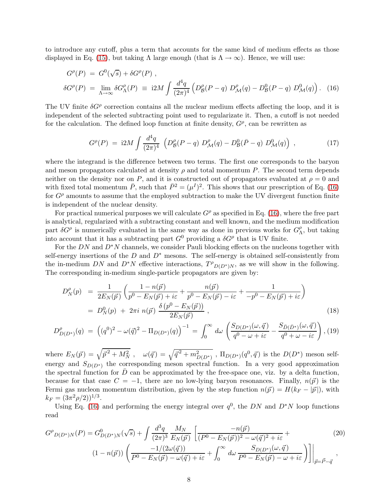to introduce any cutoff, plus a term that accounts for the same kind of medium effects as those displayed in Eq. [\(15\)](#page-6-1), but taking  $\Lambda$  large enough (that is  $\Lambda \to \infty$ ). Hence, we will use:

<span id="page-7-0"></span>
$$
G^{\rho}(P) = G^{0}(\sqrt{s}) + \delta G^{\rho}(P) ,
$$
  
\n
$$
\delta G^{\rho}(P) = \lim_{\Lambda \to \infty} \delta G^{\rho}_{\Lambda}(P) \equiv i2M \int \frac{d^{4}q}{(2\pi)^{4}} \left( D^{\rho}_{\mathcal{B}}(P-q) D^{\rho}_{\mathcal{M}}(q) - D^0_{\mathcal{B}}(P-q) D^0_{\mathcal{M}}(q) \right). (16)
$$

The UV finite  $\delta G^{\rho}$  correction contains all the nuclear medium effects affecting the loop, and it is independent of the selected subtracting point used to regularizate it. Then, a cutoff is not needed for the calculation. The defined loop function at finite density,  $G^{\rho}$ , can be rewritten as

<span id="page-7-2"></span>
$$
G^{\rho}(P) = i2M \int \frac{d^4q}{(2\pi)^4} \left( D^{\rho}_{\mathcal{B}}(P-q) D^{\rho}_{\mathcal{M}}(q) - D^0_{\mathcal{B}}(\bar{P}-q) D^0_{\mathcal{M}}(q) \right) , \qquad (17)
$$

where the integrand is the difference between two terms. The first one corresponds to the baryon and meson propagators calculated at density  $\rho$  and total momentum P. The second term depends neither on the density nor on P, and it is constructed out of propagators evaluated at  $\rho = 0$  and with fixed total momentum  $\bar{P}$ , such that  $\bar{P}^2 = (\mu^I)^2$ . This shows that our prescription of Eq. [\(16\)](#page-7-0) for  $G^{\rho}$  amounts to assume that the employed subtraction to make the UV divergent function finite is independent of the nuclear density.

For practical numerical purposes we will calculate  $G^{\rho}$  as specified in Eq. [\(16\)](#page-7-0), where the free part is analytical, regularized with a subtracting constant and well known, and the medium modification part  $\delta G^{\rho}$  is numerically evaluated in the same way as done in previous works for  $G^{\rho}_{\Lambda}$  $\frac{\rho}{\Lambda}$ , but taking into account that it has a subtracting part  $G^0$  providing a  $\delta G^{\rho}$  that is UV finite.

For the DN and  $D^*N$  channels, we consider Pauli blocking effects on the nucleons together with self-energy insertions of the  $D$  and  $D^*$  mesons. The self-energy is obtained self-consistently from the in-medium DN and  $D^*N$  effective interactions,  $T^{\rho}D(D^*)N$ , as we will show in the following. The corresponding in-medium single-particle propagators are given by:

$$
D_N^{\rho}(p) = \frac{1}{2E_N(\vec{p})} \left( \frac{1 - n(\vec{p})}{p^0 - E_N(\vec{p}) + i\varepsilon} + \frac{n(\vec{p})}{p^0 - E_N(\vec{p}) - i\varepsilon} + \frac{1}{-p^0 - E_N(\vec{p}) + i\varepsilon} \right)
$$
  
= 
$$
D_N^0(p) + 2\pi i n(\vec{p}) \frac{\delta(p^0 - E_N(\vec{p}))}{2E_N(\vec{p})},
$$
 (18)

$$
D_{D(D^*)}^{\rho}(q) = ((q^0)^2 - \omega(\vec{q})^2 - \Pi_{D(D^*)}(q))^{-1} = \int_0^\infty d\omega \left( \frac{S_{D(D^*)}(\omega, \vec{q})}{q^0 - \omega + i\varepsilon} - \frac{S_{\bar{D}(\bar{D}^*)}(\omega, \vec{q})}{q^0 + \omega - i\varepsilon} \right), (19)
$$

where  $E_N(\vec{p}) = \sqrt{\vec{p}^2 + M_N^2}$ ,  $\omega(\vec{q}) = \sqrt{\vec{q}^2 + m_{D(D^*)}^2}$ ,  $\Pi_{D(D^*)}(q^0, \vec{q})$  is the  $D(D^*)$  meson selfenergy and  $S_{D(D^*)}$  the corresponding meson spectral function. In a very good approximation the spectral function for  $\bar{D}$  can be approximated by the free-space one, viz. by a delta function, because for that case  $C = -1$ , there are no low-lying baryon resonances. Finally,  $n(\vec{p})$  is the Fermi gas nucleon momentum distribution, given by the step function  $n(\vec{p}) = H(k_F - |\vec{p}|)$ , with  $k_F = (3\pi^2 \rho/2)^{1/3}.$ 

Using Eq. [\(16\)](#page-7-0) and performing the energy integral over  $q^0$ , the DN and D<sup>\*</sup>N loop functions read

<span id="page-7-1"></span>
$$
G^{\rho}{}_{D(D^*)N}(P) = G^0_{D(D^*)N}(\sqrt{s}) + \int \frac{d^3q}{(2\pi)^3} \frac{M_N}{E_N(\vec{p})} \left[ \frac{-n(\vec{p})}{(P^0 - E_N(\vec{p}))^2 - \omega(\vec{q})^2 + i\varepsilon} + (20) \right. \\
\left. (1 - n(\vec{p})) \left( \frac{-1/(2\omega(\vec{q}))}{P^0 - E_N(\vec{p}) - \omega(\vec{q}) + i\varepsilon} + \int_0^\infty d\omega \frac{S_{D(D^*)}(\omega, \vec{q})}{P^0 - E_N(\vec{p}) - \omega + i\varepsilon} \right) \right] \Big|_{\vec{p} = \vec{P} - \vec{q}} ,
$$
\n(20)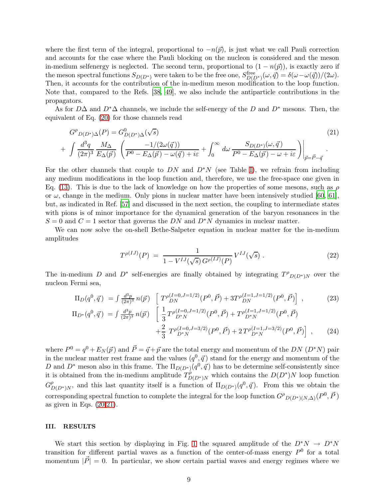where the first term of the integral, proportional to  $-n(\vec{p})$ , is just what we call Pauli correction and accounts for the case where the Pauli blocking on the nucleon is considered and the meson in-medium selfenergy is neglected. The second term, proportional to  $(1 - n(\vec{p}))$ , is exactly zero if the meson spectral functions  $S_{D(D^*)}$  were taken to be the free one,  $S_{D(D^*)}^{\text{free}}(\omega, \vec{q}) = \delta(\omega - \omega(\vec{q}))/(2\omega)$ . Then, it accounts for the contribution of the in-medium meson modification to the loop function. Note that, compared to the Refs. [\[38](#page-18-18), [49](#page-18-29)], we also include the antiparticle contributions in the propagators.

As for  $D\Delta$  and  $D^*\Delta$  channels, we include the self-energy of the D and  $D^*$  mesons. Then, the equivalent of Eq. [\(20\)](#page-7-1) for those channels read

<span id="page-8-0"></span>
$$
G^{\rho}{}_{D(D^*)\Delta}(P) = G^0_{D(D^*)\Delta}(\sqrt{s})\tag{21}
$$
\n
$$
+ \int \frac{d^3q}{(2\pi)^3} \frac{M_{\Delta}}{E_{\Delta}(\vec{p})} \left( \frac{-1/(2\omega(\vec{q}))}{P^0 - E_{\Delta}(\vec{p}) - \omega(\vec{q}) + i\varepsilon} + \int_0^\infty d\omega \frac{S_{D(D^*)}(\omega, \vec{q})}{P^0 - E_{\Delta}(\vec{p}) - \omega + i\varepsilon} \right) \Big|_{\vec{p} = \vec{P} - \vec{q}}.
$$

For the other channels that couple to DN and  $D^*N$  (see Table [I\)](#page-5-0), we refrain from including any medium modifications in the loop function and, therefore, we use the free-space one given in Eq. [\(13\)](#page-6-0). This is due to the lack of knowledge on how the properties of some mesons, such as  $\rho$ or  $\omega$ , change in the medium. Only pions in nuclear matter have been intensively studied [\[60](#page-18-40), [61](#page-18-41)], but, as indicated in Ref. [\[57\]](#page-18-37) and discussed in the next section, the coupling to intermediate states with pions is of minor importance for the dynamical generation of the baryon resonances in the  $S = 0$  and  $C = 1$  sector that governs the DN and D<sup>∗</sup>N dynamics in nuclear matter.

We can now solve the on-shell Bethe-Salpeter equation in nuclear matter for the in-medium amplitudes

$$
T^{\rho(IJ)}(P) = \frac{1}{1 - V^{IJ}(\sqrt{s}) G^{\rho(IJ)}(P)} V^{IJ}(\sqrt{s}) . \tag{22}
$$

The in-medium D and D<sup>∗</sup> self-energies are finally obtained by integrating  $T^{\rho}D(D^*)N$  over the nucleon Fermi sea,

<span id="page-8-1"></span>
$$
\Pi_D(q^0, \vec{q}) = \int \frac{d^3p}{(2\pi)^3} n(\vec{p}) \left[ T^{\rho(I=0, J=1/2)}(P^0, \vec{P}) + 3T^{\rho(I=1, J=1/2)}(P^0, \vec{P}) \right],
$$
\n
$$
\Pi_{D^*}(q^0, \vec{q}) = \int \frac{d^3p}{(2\pi)^3} n(\vec{p}) \left[ \frac{1}{3} T^{\rho(I=0, J=1/2)}(P^0, \vec{P}) + T^{\rho(I=1, J=1/2)}(P^0, \vec{P}) \right] + \frac{2}{3} T^{\rho(I=0, J=3/2)}(P^0, \vec{P}) + 2 T^{\rho(I=1, J=3/2)}(P^0, \vec{P}) \right],
$$
\n(24)

where  $P^0 = q^0 + E_N(\vec{p})$  and  $\vec{P} = \vec{q} + \vec{p}$  are the total energy and momentum of the DN  $(D^*N)$  pair in the nuclear matter rest frame and the values  $(q^0, \vec{q})$  stand for the energy and momentum of the D and  $D^*$  meson also in this frame. The  $\Pi_{D(D^*)}(q^0, \vec{q})$  has to be determine self-consistently since it is obtained from the in-medium amplitude  $T_{D(D^*)N}^{\hat{\rho}}$  which contains the  $D(D^*)N$  loop function  $G_{D(D^*)N}^{\rho}$ , and this last quantity itself is a function of  $\Pi_{D(D^*)}(q^0, \vec{q})$ . From this we obtain the corresponding spectral function to complete the integral for the loop function  $G^{\rho}{}_{D(D^*) (N,\Delta)}(P^0, \vec{P})$ as given in Eqs.  $(20,21)$  $(20,21)$ .

## III. RESULTS

We start this section by displaying in Fig. [1](#page-9-0) the squared amplitude of the  $D^*N \to D^*N$ transition for different partial waves as a function of the center-of-mass energy  $P^0$  for a total momentum  $|\vec{P}| = 0$ . In particular, we show certain partial waves and energy regimes where we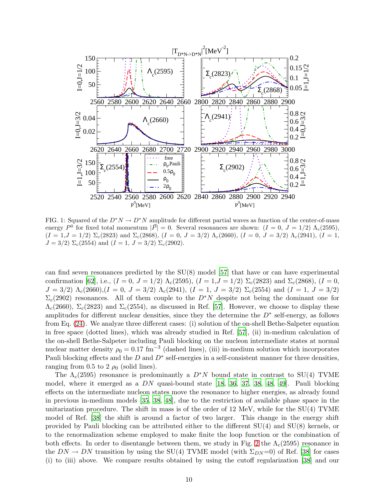

<span id="page-9-0"></span>FIG. 1: Squared of the  $D^*N \to D^*N$  amplitude for different partial waves as function of the center-of-mass energy  $P^0$  for fixed total momentum  $|\vec{P}| = 0$ . Several resonances are shown:  $(I = 0, J = 1/2) \Lambda_c(2595)$ ,  $(I = 1, J = 1/2)$   $\Sigma_c(2823)$  and  $\Sigma_c(2868)$ ,  $(I = 0, J = 3/2)$   $\Lambda_c(2660)$ ,  $(I = 0, J = 3/2)$   $\Lambda_c(2941)$ ,  $(I = 1,$  $J = 3/2$ )  $\Sigma_c(2554)$  and  $(I = 1, J = 3/2)$   $\Sigma_c(2902)$ .

can find seven resonances predicted by the SU(8) model [\[57](#page-18-37)] that have or can have experimental confirmation [\[62](#page-18-42)], i.e.,  $(I = 0, J = 1/2) \Lambda_c(2595), (I = 1, J = 1/2) \Sigma_c(2823)$  and  $\Sigma_c(2868), (I = 0,$  $J = 3/2$ )  $\Lambda_c(2660)$ ,  $(I = 0, J = 3/2)$   $\Lambda_c(2941)$ ,  $(I = 1, J = 3/2)$   $\Sigma_c(2554)$  and  $(I = 1, J = 3/2)$  $\Sigma_c(2902)$  resonances. All of them couple to the D<sup>∗</sup>N despite not being the dominant one for  $\Lambda_c(2660)$ ,  $\Sigma_c(2823)$  and  $\Sigma_c(2554)$ , as discussed in Ref. [\[57](#page-18-37)]. However, we choose to display these amplitudes for different nuclear densities, since they the determine the  $D^*$  self-energy, as follows from Eq. [\(24\)](#page-8-1). We analyze three different cases: (i) solution of the on-shell Bethe-Salpeter equation in free space (dotted lines), which was already studied in Ref. [\[57\]](#page-18-37), (ii) in-medium calculation of the on-shell Bethe-Salpeter including Pauli blocking on the nucleon intermediate states at normal nuclear matter density  $\rho_0 = 0.17 \text{ fm}^{-3}$  (dashed lines), (iii) in-medium solution which incorporates Pauli blocking effects and the  $D$  and  $D^*$  self-energies in a self-consistent manner for three densities, ranging from 0.5 to 2  $\rho_0$  (solid lines).

The  $\Lambda_c(2595)$  resonance is predominantly a  $D^*N$  bound state in contrast to SU(4) TVME model, where it emerged as a DN quasi-bound state [\[18](#page-17-17), [36,](#page-18-16) [37](#page-18-17), [38](#page-18-18), [48](#page-18-28), [49](#page-18-29)]. Pauli blocking effects on the intermediate nucleon states move the resonance to higher energies, as already found in previous in-medium models [\[35,](#page-18-15) [38](#page-18-18), [48](#page-18-28)], due to the restriction of available phase space in the unitarization procedure. The shift in mass is of the order of 12 MeV, while for the  $SU(4)$  TVME model of Ref. [\[38](#page-18-18)] the shift is around a factor of two larger. This change in the energy shift provided by Pauli blocking can be attributed either to the different SU(4) and SU(8) kernels, or to the renormalization scheme employed to make finite the loop function or the combination of both effects. In order to disentangle between them, we study in Fig. [2](#page-10-0) the  $\Lambda_c(2595)$  resonance in the  $DN \to DN$  transition by using the SU(4) TVME model (with  $\Sigma_{DN}=0$ ) of Ref. [\[38\]](#page-18-18) for cases (i) to (iii) above. We compare results obtained by using the cutoff regularization [\[38](#page-18-18)] and our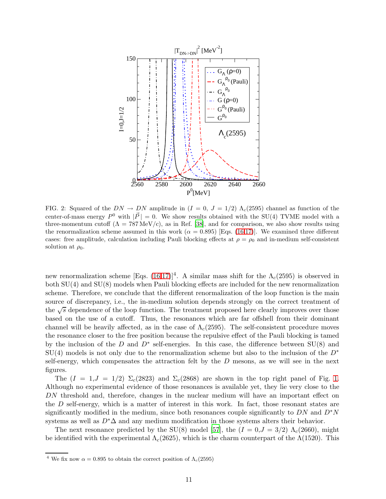

<span id="page-10-0"></span>FIG. 2: Squared of the  $DN \to DN$  amplitude in  $(I = 0, J = 1/2)$   $\Lambda_c(2595)$  channel as function of the center-of-mass energy  $P^0$  with  $|\vec{P}| = 0$ . We show results obtained with the SU(4) TVME model with a three-momentum cutoff  $(\Lambda = 787 \text{ MeV/c})$ , as in Ref. [\[38](#page-18-18)], and for comparison, we also show results using the renormalization scheme assumed in this work ( $\alpha = 0.895$ ) [Eqs. [\(16](#page-7-0)[,17\)](#page-7-2)]. We examined three different cases: free amplitude, calculation including Pauli blocking effects at  $\rho = \rho_0$  and in-medium self-consistent solution at  $\rho_0$ .

new renormalization scheme [Eqs.  $(16,17)$  $(16,17)$ ]<sup>4</sup>. A similar mass shift for the  $\Lambda_c(2595)$  is observed in both SU(4) and SU(8) models when Pauli blocking effects are included for the new renormalization scheme. Therefore, we conclude that the different renormalization of the loop function is the main source of discrepancy, i.e., the in-medium solution depends strongly on the correct treatment of the  $\sqrt{s}$  dependence of the loop function. The treatment proposed here clearly improves over those based on the use of a cutoff. Thus, the resonances which are far offshell from their dominant channel will be heavily affected, as in the case of  $\Lambda_c(2595)$ . The self-consistent procedure moves the resonance closer to the free position because the repulsive effect of the Pauli blocking is tamed by the inclusion of the D and  $D^*$  self-energies. In this case, the difference between  $SU(8)$  and  $SU(4)$  models is not only due to the renormalization scheme but also to the inclusion of the  $D^*$ self-energy, which compensates the attraction felt by the  $D$  mesons, as we will see in the next figures.

The  $(I = 1, J = 1/2)$   $\Sigma_c(2823)$  and  $\Sigma_c(2868)$  are shown in the top right panel of Fig. [1.](#page-9-0) Although no experimental evidence of those resonances is available yet, they lie very close to the DN threshold and, therefore, changes in the nuclear medium will have an important effect on the  $D$  self-energy, which is a matter of interest in this work. In fact, those resonant states are significantly modified in the medium, since both resonances couple significantly to DN and  $D^*N$ systems as well as  $D^*\Delta$  and any medium modification in those systems alters their behavior.

The next resonance predicted by the SU(8) model [\[57](#page-18-37)], the  $(I = 0, J = 3/2)$   $\Lambda_c(2660)$ , might be identified with the experimental  $\Lambda_c(2625)$ , which is the charm counterpart of the  $\Lambda(1520)$ . This

<sup>&</sup>lt;sup>4</sup> We fix now  $\alpha = 0.895$  to obtain the correct position of  $\Lambda_c(2595)$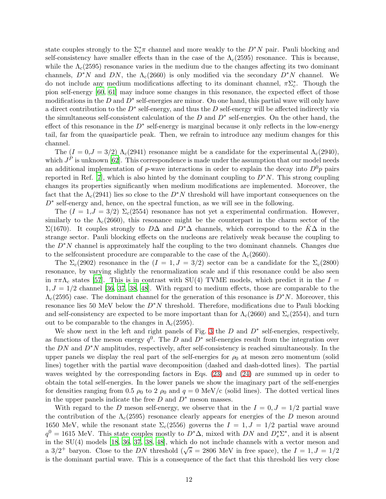state couples strongly to the  $\Sigma_c^* \pi$  channel and more weakly to the  $D^*N$  pair. Pauli blocking and self-consistency have smaller effects than in the case of the  $\Lambda_c(2595)$  resonance. This is because, while the  $\Lambda_c(2595)$  resonance varies in the medium due to the changes affecting its two dominant channels,  $D^*N$  and DN, the  $\Lambda_c(2660)$  is only modified via the secondary  $D^*N$  channel. We do not include any medium modifications affecting to its dominant channel,  $\pi\Sigma_c^*$ . Though the pion self-energy [\[60](#page-18-40), [61](#page-18-41)] may induce some changes in this resonance, the expected effect of those modifications in the  $D$  and  $D^*$  self-energies are minor. On one hand, this partial wave will only have a direct contribution to the  $D^*$  self-energy, and thus the  $D$  self-energy will be affected indirectly via the simultaneous self-consistent calculation of the  $D$  and  $D^*$  self-energies. On the other hand, the effect of this resonance in the  $D^*$  self-energy is marginal because it only reflects in the low-energy tail, far from the quasiparticle peak. Then, we refrain to introduce any medium changes for this channel.

The  $(I = 0, J = 3/2)$   $\Lambda_c(2941)$  resonance might be a candidate for the experimental  $\Lambda_c(2940)$ , which  $J<sup>P</sup>$  is unknown [\[62](#page-18-42)]. This correspondence is made under the assumption that our model needs an additional implementation of p-wave interactions in order to explain the decay into  $D^0p$  pairs reported in Ref. [\[7](#page-17-6)], which is also hinted by the dominant coupling to  $D^*N$ . This strong coupling changes its properties significantly when medium modifications are implemented. Moreover, the fact that the  $\Lambda_c(2941)$  lies so close to the  $D^*N$  threshold will have important consequences on the D<sup>∗</sup> self-energy and, hence, on the spectral function, as we will see in the following.

The  $(I = 1, J = 3/2)$   $\Sigma_c(2554)$  resonance has not yet a experimental confirmation. However, similarly to the  $\Lambda_c(2660)$ , this resonance might be the counterpart in the charm sector of the  $\Sigma(1670)$ . It couples strongly to DΔ and D<sup>\*</sup>Δ channels, which correspond to the KΔ in the strange sector. Pauli blocking effects on the nucleons are relatively weak because the coupling to the  $D^*N$  channel is approximately half the coupling to the two dominant channels. Changes due to the selfconsistent procedure are comparable to the case of the  $\Lambda_c(2660)$ .

The  $\Sigma_c(2902)$  resonance in the  $(I = 1, J = 3/2)$  sector can be a candidate for the  $\Sigma_c(2800)$ resonance, by varying slightly the renormalization scale and if this resonance could be also seen in  $\pi \pi \Lambda_c$  states [\[57\]](#page-18-37). This is in contrast with SU(4) TVME models, which predict it in the I =  $1, J = 1/2$  channel [\[36](#page-18-16), [37](#page-18-17), [38](#page-18-18), [48](#page-18-28)]. With regard to medium effects, those are comparable to the  $\Lambda_c(2595)$  case. The dominant channel for the generation of this resonance is  $D^*N$ . Moreover, this resonance lies 50 MeV below the D∗N threshold. Therefore, modifications due to Pauli blocking and self-consistency are expected to be more important than for  $\Lambda_c(2660)$  and  $\Sigma_c(2554)$ , and turn out to be comparable to the changes in  $\Lambda_c(2595)$ .

We show next in the left and right panels of Fig. [3](#page-12-0) the  $D$  and  $D^*$  self-energies, respectively, as functions of the meson energy  $q^0$ . The D and D<sup>\*</sup> self-energies result from the integration over the  $DN$  and  $D^*N$  amplitudes, respectively, after self-consistency is reached simultaneously. In the upper panels we display the real part of the self-energies for  $\rho_0$  at meson zero momentum (solid lines) together with the partial wave decomposition (dashed and dash-dotted lines). The partial waves weighted by the corresponding factors in Eqs. [\(23\)](#page-8-1) and [\(24\)](#page-8-1) are summed up in order to obtain the total self-energies. In the lower panels we show the imaginary part of the self-energies for densities ranging from 0.5  $\rho_0$  to 2  $\rho_0$  and  $q = 0$  MeV/c (solid lines). The dotted vertical lines in the upper panels indicate the free  $D$  and  $D^*$  meson masses.

With regard to the D meson self-energy, we observe that in the  $I = 0, J = 1/2$  partial wave the contribution of the  $\Lambda_c(2595)$  resonance clearly appears for energies of the D meson around 1650 MeV, while the resonant state  $\Sigma_c(2556)$  governs the  $I = 1, J = 1/2$  partial wave around  $q^0 = 1615$  MeV. This state couples mostly to  $D^*\Delta$ , mixed with  $DN$  and  $D_s^*\Sigma^*$ , and it is absent in the SU(4) models [\[18](#page-17-17), [36](#page-18-16), [37](#page-18-17), [38,](#page-18-18) [48\]](#page-18-28), which do not include channels with a vector meson and a 3/2<sup>+</sup> baryon. Close to the DN threshold ( $\sqrt{s}$  = 2806 MeV in free space), the  $I = 1, J = 1/2$ is the dominant partial wave. This is a consequence of the fact that this threshold lies very close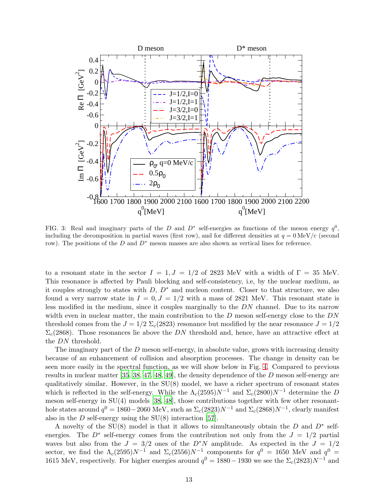

<span id="page-12-0"></span>FIG. 3: Real and imaginary parts of the D and  $D^*$  self-energies as functions of the meson energy  $q^0$ , including the decomposition in partial waves (first row), and for different densities at  $q = 0$  MeV/c (second row). The positions of the  $D$  and  $D^*$  meson masses are also shown as vertical lines for reference.

to a resonant state in the sector  $I = 1, J = 1/2$  of 2823 MeV with a width of  $\Gamma = 35$  MeV. This resonance is affected by Pauli blocking and self-consistency, i.e, by the nuclear medium, as it couples strongly to states with  $D, D^*$  and nucleon content. Closer to that structure, we also found a very narrow state in  $I = 0, J = 1/2$  with a mass of 2821 MeV. This resonant state is less modified in the medium, since it couples marginally to the DN channel. Due to its narrow width even in nuclear matter, the main contribution to the  $D$  meson self-energy close to the  $DN$ threshold comes from the  $J = 1/2$   $\Sigma_c(2823)$  resonance but modified by the near resonance  $J = 1/2$  $\Sigma_c(2868)$ . Those resonances lie above the DN threshold and, hence, have an attractive effect at the DN threshold.

The imaginary part of the  $D$  meson self-energy, in absolute value, grows with increasing density because of an enhancement of collision and absorption processes. The change in density can be seen more easily in the spectral function, as we will show below in Fig. [4.](#page-13-0) Compared to previous results in nuclear matter [\[35](#page-18-15), [38,](#page-18-18) [47,](#page-18-27) [48,](#page-18-28) [49\]](#page-18-29), the density dependence of the D meson self-energy are qualitatively similar. However, in the  $SU(8)$  model, we have a richer spectrum of resonant states which is reflected in the self-energy. While the  $\Lambda_c(2595)N^{-1}$  and  $\Sigma_c(2800)N^{-1}$  determine the D meson self-energy in SU(4) models [\[38](#page-18-18), [48\]](#page-18-28), those contributions together with few other resonanthole states around  $q^0 = 1860 - 2060 \text{ MeV}$ , such as  $\Sigma_c(2823)N^{-1}$  and  $\Sigma_c(2868)N^{-1}$ , clearly manifest also in the  $D$  self-energy using the  $SU(8)$  interaction [\[57](#page-18-37)].

A novelty of the SU(8) model is that it allows to simultaneously obtain the  $D$  and  $D^*$  selfenergies. The  $D^*$  self-energy comes from the contribution not only from the  $J = 1/2$  partial waves but also from the  $J = 3/2$  ones of the  $D^*N$  amplitude. As expected in the  $J = 1/2$ sector, we find the  $\Lambda_c(2595)N^{-1}$  and  $\Sigma_c(2556)N^{-1}$  components for  $q^0 = 1650$  MeV and  $q^0 =$ 1615 MeV, respectively. For higher energies around  $q^0 = 1880 - 1930$  we see the  $\Sigma_c(2823)N^{-1}$  and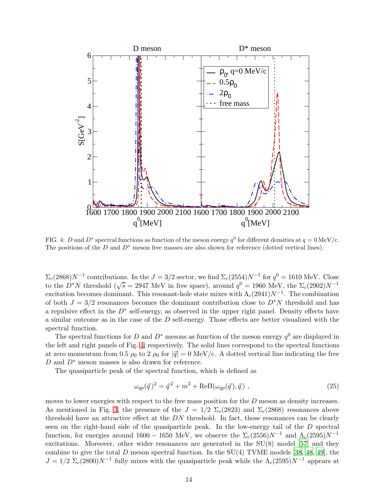

<span id="page-13-0"></span>FIG. 4: D and D<sup>\*</sup> spectral functions as function of the meson energy  $q^0$  for different densities at  $q = 0$  MeV/c. The positions of the  $D$  and  $D^*$  meson free masses are also shown for reference (dotted vertical lines).

 $\Sigma_c(2868)N^{-1}$  contributions. In the  $J = 3/2$  sector, we find  $\Sigma_c(2554)N^{-1}$  for  $q^0 = 1610$  MeV. Close to the  $D^*N$  threshold ( $\sqrt{s} = 2947$  MeV in free space), around  $q^0 = 1960$  MeV, the  $\Sigma_c(2902)N^{-1}$ excitation becomes dominant. This resonant-hole state mixes with  $\Lambda_c(2941)N^{-1}$ . The combination of both  $J = 3/2$  resonances becomes the dominant contribution close to  $D^*N$  threshold and has a repulsive effect in the  $D^*$  self-energy, as observed in the upper right panel. Density effects have a similar outcome as in the case of the D self-energy. Those effects are better visualized with the spectral function.

The spectral functions for D and  $D^*$  mesons as function of the meson energy  $q^0$  are displayed in the left and right panels of Fig. [4,](#page-13-0) respectively. The solid lines correspond to the spectral functions at zero momentum from 0.5  $\rho_0$  to 2  $\rho_0$  for  $|\vec{q}| = 0$  MeV/c. A dotted vertical line indicating the free  $D$  and  $D^*$  meson masses is also drawn for reference.

The quasiparticle peak of the spectral function, which is defined as

$$
\omega_{qp}(\vec{q})^2 = \vec{q}^2 + m^2 + \text{Re}\Pi(\omega_{qp}(\vec{q}), \vec{q}) , \qquad (25)
$$

moves to lower energies with respect to the free mass position for the  $D$  meson as density increases. As mentioned in Fig. [3,](#page-12-0) the presence of the  $J = 1/2 \Sigma_c (2823)$  and  $\Sigma_c (2868)$  resonances above threshold have an attractive effect at the  $DN$  threshold. In fact, those resonances can be clearly seen on the right-hand side of the quasiparticle peak. In the low-energy tail of the D spectral function, for energies around 1600 − 1650 MeV, we observe the  $\Sigma_c(2556)N^{-1}$  and  $\Lambda_c(2595)N^{-1}$ excitations. Moreover, other wider resonances are generated in the SU(8) model [\[57](#page-18-37)] and they combine to give the total D meson spectral function. In the  $SU(4)$  TVME models [\[38,](#page-18-18) [48](#page-18-28), [49](#page-18-29)], the  $J = 1/2 \Sigma_c (2800) N^{-1}$  fully mixes with the quasiparticle peak while the  $\Lambda_c (2595) N^{-1}$  appears at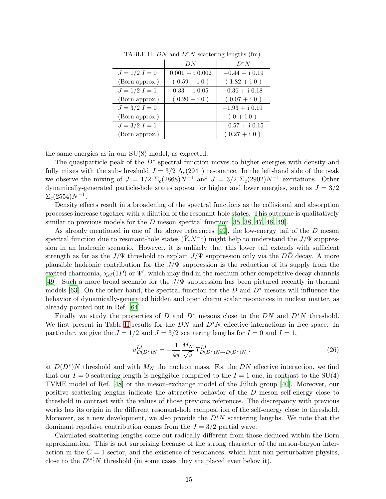|                 | DN                | $D^*N$           |
|-----------------|-------------------|------------------|
| $J = 1/2 I = 0$ | $0.001 + i 0.002$ | $-0.44 + i 0.19$ |
| (Born approx.)  | $(0.59 + i 0)$    | $(1.82 + i 0)$   |
| $J = 1/2 I = 1$ | $0.33 + i 0.05$   | $-0.36 + i 0.18$ |
| (Born approx.)  | $(0.20 + i 0)$    | $(0.07 + i 0)$   |
| $J = 3/2 I = 0$ |                   | $-1.93 + i 0.19$ |
| (Born approx.)  |                   | $(0 + i 0)$      |
| $J = 3/2 I = 1$ |                   | $-0.57 + i 0.15$ |
| (Born approx.)  |                   | $(0.27 + i 0)$   |

<span id="page-14-0"></span>TABLE II:  $DN$  and  $D^*N$  scattering lengths (fm)

the same energies as in our SU(8) model, as expected.

The quasiparticle peak of the  $D^*$  spectral function moves to higher energies with density and fully mixes with the sub-threshold  $J = 3/2 \Lambda_c (2941)$  resonance. In the left-hand side of the peak we observe the mixing of  $J = 1/2 \Sigma_c (2868) N^{-1}$  and  $J = 3/2 \Sigma_c (2902) N^{-1}$  excitations. Other dynamically-generated particle-hole states appear for higher and lower energies, such as  $J = 3/2$  $\Sigma_c(2554)N^{-1}.$ 

Density effects result in a broadening of the spectral functions as the collisional and absorption processes increase together with a dilution of the resonant-hole states. This outcome is qualitatively similar to previous models for the D meson spectral function  $[35, 38, 47, 48, 49]$  $[35, 38, 47, 48, 49]$  $[35, 38, 47, 48, 49]$  $[35, 38, 47, 48, 49]$  $[35, 38, 47, 48, 49]$  $[35, 38, 47, 48, 49]$  $[35, 38, 47, 48, 49]$  $[35, 38, 47, 48, 49]$  $[35, 38, 47, 48, 49]$ .

As already mentioned in one of the above references [\[49](#page-18-29)], the low-energy tail of the D meson spectral function due to resonant-hole states  $(\tilde{Y}_c N^{-1})$  might help to understand the  $J/\Psi$  suppression in an hadronic scenario. However, it is unlikely that this lower tail extends with sufficient strength as far as the  $J/\Psi$  threshold to explain  $J/\Psi$  suppression only via the DD decay. A more plausible hadronic contribution for the  $J/\Psi$  suppression is the reduction of its supply from the excited charmonia,  $\chi_{c\ell}(1P)$  or  $\Psi'$ , which may find in the medium other competitive decay channels [\[49\]](#page-18-29). Such a more broad scenario for the  $J/\Psi$  suppression has been pictured recently in thermal models [\[63\]](#page-18-43). On the other hand, the spectral function for the D and  $D^*$  mesons will influence the behavior of dynamically-generated hidden and open charm scalar resonances in nuclear matter, as already pointed out in Ref. [\[64\]](#page-18-44).

Finally we study the properties of D and  $D^*$  mesons close to the DN and  $D^*N$  threshold. We first present in Table [II](#page-14-0) results for the  $DN$  and  $D^*N$  effective interactions in free space. In particular, we give the  $J = 1/2$  and  $J = 3/2$  scattering lengths for  $I = 0$  and  $I = 1$ ,

$$
a_{D(D^*)N}^{IJ} = -\frac{1}{4\pi} \frac{M_N}{\sqrt{s}} T_{D(D^*)N \to D(D^*)N}^{IJ}, \qquad (26)
$$

at  $D(D^*)N$  threshold and with  $M_N$  the nucleon mass. For the DN effective interaction, we find that our  $I = 0$  scattering length is negligible compared to the  $I = 1$  one, in contrast to the SU(4) TVME model of Ref. [\[48](#page-18-28)] or the meson-exchange model of the Jülich group [\[40](#page-18-20)]. Moreover, our positive scattering lengths indicate the attractive behavior of the D meson self-energy close to threshold in contrast with the values of those previous references. The discrepancy with previous works has its origin in the different resonant-hole composition of the self-energy close to threshold. Moreover, as a new development, we also provide the  $D^*N$  scattering lengths. We note that the dominant repulsive contribution comes from the  $J = 3/2$  partial wave.

Calculated scattering lengths come out radically different from those deduced within the Born approximation. This is not surprising because of the strong character of the meson-baryon interaction in the  $C = 1$  sector, and the existence of resonances, which hint non-perturbative physics, close to the  $D^{(*)}N$  threshold (in some cases they are placed even below it).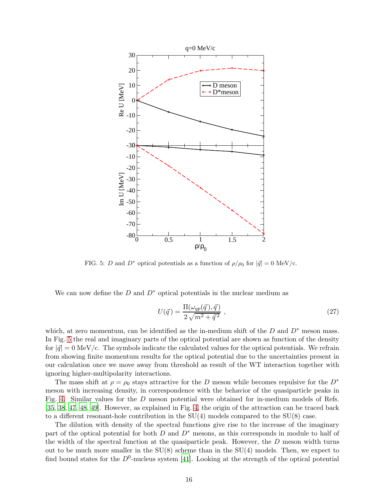

<span id="page-15-0"></span>FIG. 5: D and D<sup>\*</sup> optical potentials as a function of  $\rho/\rho_0$  for  $|\vec{q}| = 0$  MeV/c.

We can now define the D and  $D^*$  optical potentials in the nuclear medium as

$$
U(\vec{q}) = \frac{\Pi(\omega_{qp}(\vec{q}), \vec{q})}{2\sqrt{m^2 + \vec{q}^2}} , \qquad (27)
$$

which, at zero momentum, can be identified as the in-medium shift of the  $D$  and  $D^*$  meson mass. In Fig. [5](#page-15-0) the real and imaginary parts of the optical potential are shown as function of the density for  $|\vec{q}| = 0$  MeV/c. The symbols indicate the calculated values for the optical potentials. We refrain from showing finite momentum results for the optical potential due to the uncertainties present in our calculation once we move away from threshold as result of the WT interaction together with ignoring higher-multipolarity interactions.

The mass shift at  $\rho = \rho_0$  stays attractive for the D meson while becomes repulsive for the D<sup>\*</sup> meson with increasing density, in correspondence with the behavior of the quasiparticle peaks in Fig. [4.](#page-13-0) Similar values for the D meson potential were obtained for in-medium models of Refs. [\[35,](#page-18-15) [38](#page-18-18), [47](#page-18-27), [48,](#page-18-28) [49\]](#page-18-29). However, as explained in Fig. [4,](#page-13-0) the origin of the attraction can be traced back to a different resonant-hole contribution in the  $SU(4)$  models compared to the  $SU(8)$  case.

The dilution with density of the spectral functions give rise to the increase of the imaginary part of the optical potential for both D and  $D^*$  mesons, as this corresponds in module to half of the width of the spectral function at the quasiparticle peak. However, the  $D$  meson width turns out to be much more smaller in the  $SU(8)$  scheme than in the  $SU(4)$  models. Then, we expect to find bound states for the  $D^0$ -nucleus system [\[41](#page-18-21)]. Looking at the strength of the optical potential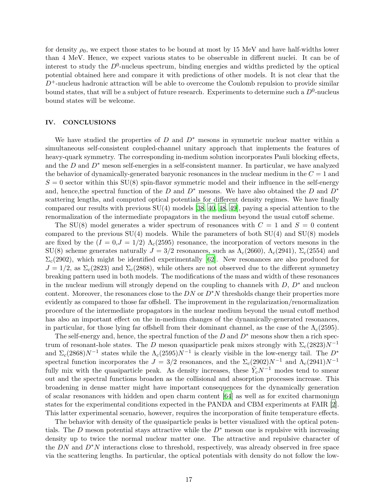for density  $\rho_0$ , we expect those states to be bound at most by 15 MeV and have half-widths lower than 4 MeV. Hence, we expect various states to be observable in different nuclei. It can be of interest to study the  $D^0$ -nucleus spectrum, binding energies and widths predicted by the optical potential obtained here and compare it with predictions of other models. It is not clear that the  $D^+$ -nucleus hadronic attraction will be able to overcome the Coulomb repulsion to provide similar bound states, that will be a subject of future research. Experiments to determine such a  $D^0$ -nucleus bound states will be welcome.

### IV. CONCLUSIONS

We have studied the properties of D and  $D^*$  mesons in symmetric nuclear matter within a simultaneous self-consistent coupled-channel unitary approach that implements the features of heavy-quark symmetry. The corresponding in-medium solution incorporates Pauli blocking effects, and the  $D$  and  $D^*$  meson self-energies in a self-consistent manner. In particular, we have analyzed the behavior of dynamically-generated baryonic resonances in the nuclear medium in the  $C = 1$  and  $S = 0$  sector within this  $SU(8)$  spin-flavor symmetric model and their influence in the self-energy and, hence, the spectral function of the D and  $D^*$  mesons. We have also obtained the D and  $D^*$ scattering lengths, and computed optical potentials for different density regimes. We have finally compared our results with previous  $SU(4)$  models [\[38,](#page-18-18) [40](#page-18-20), [48](#page-18-28), [49](#page-18-29)], paying a special attention to the renormalization of the intermediate propagators in the medium beyond the usual cutoff scheme.

The SU(8) model generates a wider spectrum of resonances with  $C = 1$  and  $S = 0$  content compared to the previous  $SU(4)$  models. While the parameters of both  $SU(4)$  and  $SU(8)$  models are fixed by the  $(I = 0, J = 1/2)$   $\Lambda_c(2595)$  resonance, the incorporation of vectors mesons in the  $SU(8)$  scheme generates naturally  $J = 3/2$  resonances, such as  $\Lambda_c(2660)$ ,  $\Lambda_c(2941)$ ,  $\Sigma_c(2554)$  and  $\Sigma_c(2902)$ , which might be identified experimentally [\[62](#page-18-42)]. New resonances are also produced for  $J = 1/2$ , as  $\Sigma_c(2823)$  and  $\Sigma_c(2868)$ , while others are not observed due to the different symmetry breaking pattern used in both models. The modifications of the mass and width of these resonances in the nuclear medium will strongly depend on the coupling to channels with  $D, D^*$  and nucleon content. Moreover, the resonances close to the  $DN$  or  $D^*N$  thresholds change their properties more evidently as compared to those far offshell. The improvement in the regularization/renormalization procedure of the intermediate propagators in the nuclear medium beyond the usual cutoff method has also an important effect on the in-medium changes of the dynamically-generated resonances, in particular, for those lying far offshell from their dominant channel, as the case of the  $\Lambda_c(2595)$ .

The self-energy and, hence, the spectral function of the  $D$  and  $D^*$  mesons show then a rich spectrum of resonant-hole states. The D meson quasiparticle peak mixes strongly with  $\Sigma_c(2823)N^{-1}$ and  $\Sigma_c(2868)N^{-1}$  states while the  $\Lambda_c(2595)N^{-1}$  is clearly visible in the low-energy tail. The  $D^*$ spectral function incorporates the  $J = 3/2$  resonances, and the  $\Sigma_c(2902)N^{-1}$  and  $\Lambda_c(2941)N^{-1}$ fully mix with the quasiparticle peak. As density increases, these  $\tilde{Y}_c N^{-1}$  modes tend to smear out and the spectral functions broaden as the collisional and absorption processes increase. This broadening in dense matter might have important consequences for the dynamically generation of scalar resonances with hidden and open charm content [\[64](#page-18-44)] as well as for excited charmonium states for the experimental conditions expected in the PANDA and CBM experiments at FAIR [\[2](#page-17-1)]. This latter experimental scenario, however, requires the incorporation of finite temperature effects.

The behavior with density of the quasiparticle peaks is better visualized with the optical potentials. The D meson potential stays attractive while the  $D^*$  meson one is repulsive with increasing density up to twice the normal nuclear matter one. The attractive and repulsive character of the  $DN$  and  $D^*N$  interactions close to threshold, respectively, was already observed in free space via the scattering lengths. In particular, the optical potentials with density do not follow the low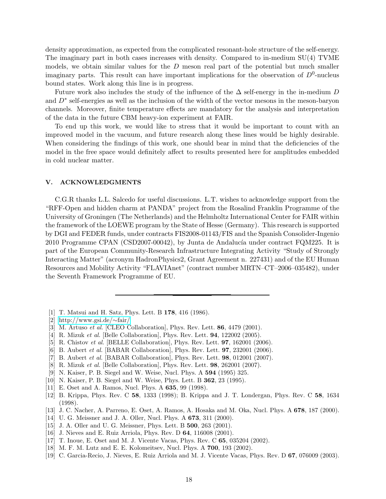density approximation, as expected from the complicated resonant-hole structure of the self-energy. The imaginary part in both cases increases with density. Compared to in-medium SU(4) TVME models, we obtain similar values for the  $D$  meson real part of the potential but much smaller imaginary parts. This result can have important implications for the observation of  $D^0$ -nucleus bound states. Work along this line is in progress.

Future work also includes the study of the influence of the  $\Delta$  self-energy in the in-medium D and  $D^*$  self-energies as well as the inclusion of the width of the vector mesons in the meson-baryon channels. Moreover, finite temperature effects are mandatory for the analysis and interpretation of the data in the future CBM heavy-ion experiment at FAIR.

To end up this work, we would like to stress that it would be important to count with an improved model in the vacuum, and future research along these lines would be highly desirable. When considering the findings of this work, one should bear in mind that the deficiencies of the model in the free space would definitely affect to results presented here for amplitudes embedded in cold nuclear matter.

### V. ACKNOWLEDGMENTS

C.G.R thanks L.L. Salcedo for useful discussions. L.T. wishes to acknowledge support from the "RFF-Open and hidden charm at PANDA" project from the Rosalind Franklin Programme of the University of Groningen (The Netherlands) and the Helmholtz International Center for FAIR within the framework of the LOEWE program by the State of Hesse (Germany). This research is supported by DGI and FEDER funds, under contracts FIS2008-01143/FIS and the Spanish Consolider-Ingenio 2010 Programme CPAN (CSD2007-00042), by Junta de Andalucía under contract FQM225. It is part of the European Community-Research Infrastructure Integrating Activity "Study of Strongly Interacting Matter" (acronym HadronPhysics2, Grant Agreement n. 227431) and of the EU Human Resources and Mobility Activity "FLAVIAnet" (contract number MRTN–CT–2006–035482), under the Seventh Framework Programme of EU.

- <span id="page-17-0"></span>[1] T. Matsui and H. Satz, Phys. Lett. B 178, 416 (1986).
- <span id="page-17-1"></span>[2] [http://www.gsi.de/](http://www.gsi.de/~fair/)∼fair/
- <span id="page-17-2"></span>[3] M. Artuso et al.  $[CLEO Collaboration]$ , Phys. Rev. Lett. 86, 4479 (2001).
- <span id="page-17-3"></span>[4] R. Mizuk *et al.* [Belle Collaboration], Phys. Rev. Lett. **94**, 122002 (2005).
- <span id="page-17-4"></span>[5] R. Chistov et al. [BELLE Collaboration], Phys. Rev. Lett. 97, 162001 (2006).
- <span id="page-17-5"></span>[6] B. Aubert et al. [BABAR Collaboration], Phys. Rev. Lett. 97, 232001 (2006).
- <span id="page-17-6"></span>[7] B. Aubert *et al.* [BABAR Collaboration], Phys. Rev. Lett. **98**, 012001 (2007).
- <span id="page-17-7"></span>[8] R. Mizuk et al. [Belle Collaboration], Phys. Rev. Lett. 98, 262001 (2007).
- <span id="page-17-8"></span>[9] N. Kaiser, P. B. Siegel and W. Weise, Nucl. Phys. A 594 (1995) 325.
- <span id="page-17-9"></span>[10] N. Kaiser, P. B. Siegel and W. Weise, Phys. Lett. B 362, 23 (1995).
- <span id="page-17-10"></span>[11] E. Oset and A. Ramos, Nucl. Phys. A 635, 99 (1998).
- <span id="page-17-11"></span>[12] B. Krippa, Phys. Rev. C 58, 1333 (1998); B. Krippa and J. T. Londergan, Phys. Rev. C 58, 1634 (1998).
- <span id="page-17-12"></span>[13] J. C. Nacher, A. Parreno, E. Oset, A. Ramos, A. Hosaka and M. Oka, Nucl. Phys. A 678, 187 (2000).
- <span id="page-17-13"></span>[14] U. G. Meissner and J. A. Oller, Nucl. Phys. A **673**, 311 (2000).
- <span id="page-17-14"></span>[15] J. A. Oller and U. G. Meissner, Phys. Lett. B **500**, 263 (2001).
- <span id="page-17-15"></span>[16] J. Nieves and E. Ruiz Arriola, Phys. Rev. D 64, 116008 (2001).
- <span id="page-17-16"></span>[17] T. Inoue, E. Oset and M. J. Vicente Vacas, Phys. Rev. C 65, 035204 (2002).
- <span id="page-17-17"></span>[18] M. F. M. Lutz and E. E. Kolomeitsev, Nucl. Phys. A **700**, 193 (2002).
- <span id="page-17-18"></span>[19] C. Garcia-Recio, J. Nieves, E. Ruiz Arriola and M. J. Vicente Vacas, Phys. Rev. D 67, 076009 (2003).